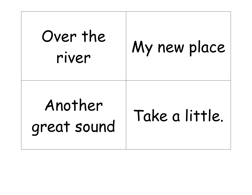| Over the<br>river      | My new place   |
|------------------------|----------------|
| Another<br>great sound | Take a little. |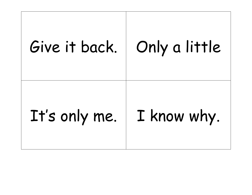## Give it back. | Only a little It's only me. | I know why.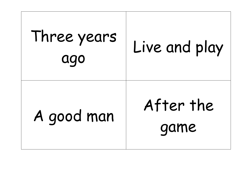| Three years<br>ago | Live and play     |
|--------------------|-------------------|
| A good man         | After the<br>game |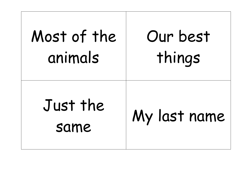| Most of the      | Our best     |
|------------------|--------------|
| animals          | things       |
| Just the<br>same | My last name |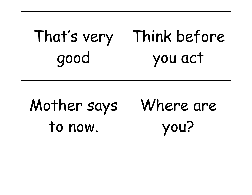| That's very | Think before |
|-------------|--------------|
| good        | you act      |
| Mother says | Where are    |
| to now.     | you?         |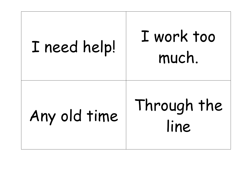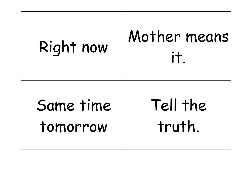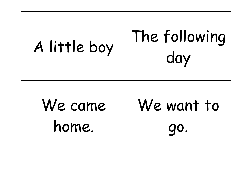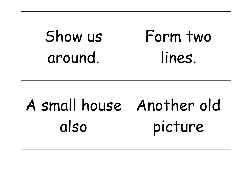| Show us       | Form two    |
|---------------|-------------|
| around.       | lines.      |
| A small house | Another old |
| also          | picture     |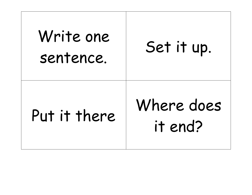| Write one<br>sentence. | Set it up.            |
|------------------------|-----------------------|
| Put it there           | Where does<br>it end? |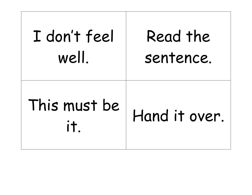| I don't feel        | Read the      |
|---------------------|---------------|
| well.               | sentence.     |
| This must be<br>it. | Hand it over. |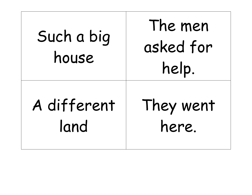| Such a big<br>house | The men<br>asked for<br>help. |
|---------------------|-------------------------------|
| A different         | They went                     |
| land                | here.                         |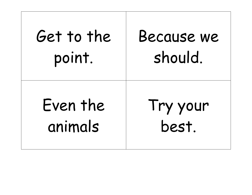| Get to the | Because we |
|------------|------------|
| point.     | should.    |
| Even the   | Try your   |
| animals    | best.      |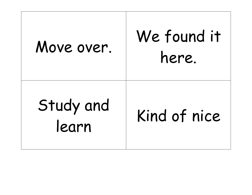| Move over.         | We found it<br>here. |
|--------------------|----------------------|
| Study and<br>learn | Kind of nice         |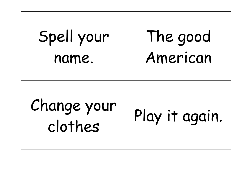| Spell your             | The good       |
|------------------------|----------------|
| name.                  | American       |
| Change your<br>clothes | Play it again. |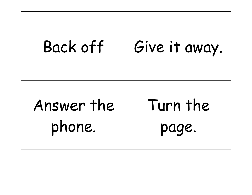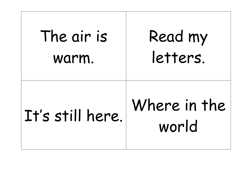| The air is       | Read my               |
|------------------|-----------------------|
| warm.            | letters.              |
| It's still here. | Where in the<br>world |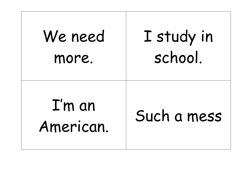| We need                     | I study in  |
|-----------------------------|-------------|
| more.                       | school.     |
| $\Gamma$ 'm an<br>American. | Such a mess |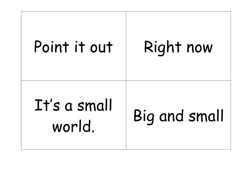## Point it out | Right now It's a small world. Big and small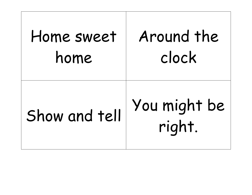| Home sweet    | Around the             |
|---------------|------------------------|
| home          | clock                  |
| Show and tell | You might be<br>right. |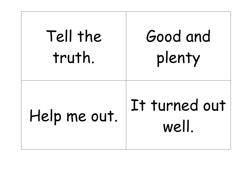| Tell the     | Good and               |
|--------------|------------------------|
| truth.       | plenty                 |
| Help me out. | It turned out<br>well. |